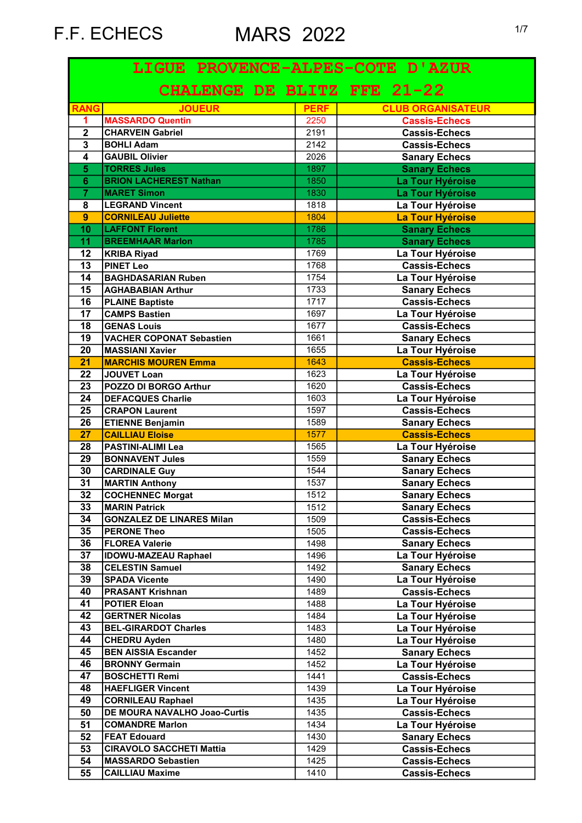| LIGUE PROVENCE-ALPES-COTE D'AZUR |                                  |             |                                       |  |
|----------------------------------|----------------------------------|-------------|---------------------------------------|--|
|                                  | CHALENGE DE BLITZ FFE 21-22      |             |                                       |  |
| <b>RANG</b>                      | <b>JOUEUR</b>                    | <b>PERF</b> | <b>CLUB ORGANISATEUR</b>              |  |
| $\blacktriangleleft$             | <b>MASSARDO Quentin</b>          | 2250        | <b>Cassis-Echecs</b>                  |  |
| $\overline{2}$                   | <b>CHARVEIN Gabriel</b>          | 2191        | <b>Cassis-Echecs</b>                  |  |
| $\overline{\mathbf{3}}$          | <b>BOHLI Adam</b>                | 2142        | <b>Cassis-Echecs</b>                  |  |
| $\overline{\mathbf{4}}$          | <b>GAUBIL Olivier</b>            | 2026        | <b>Sanary Echecs</b>                  |  |
| $\overline{5}$                   | <b>TORRES Jules</b>              | 1897        | <b>Sanary Echecs</b>                  |  |
| $\overline{6}$                   | <b>BRION LACHEREST Nathan</b>    | 1850        | La Tour Hyéroise                      |  |
| $\overline{\overline{7}}$        | <b>MARET Simon</b>               | 1830        | La Tour Hyéroise                      |  |
| 8                                | <b>LEGRAND Vincent</b>           | 1818        | La Tour Hyéroise                      |  |
| $\overline{9}$                   | <b>CORNILEAU Juliette</b>        | 1804        | La Tour Hyéroise                      |  |
| 10                               | <b>LAFFONT Florent</b>           | 1786        | <b>Sanary Echecs</b>                  |  |
| 11                               | <b>BREEMHAAR Marlon</b>          | 1785        | <b>Sanary Echecs</b>                  |  |
| 12                               | <b>KRIBA Riyad</b>               | 1769        | La Tour Hyéroise                      |  |
| $\overline{13}$                  | <b>PINET Leo</b>                 | 1768        | <b>Cassis-Echecs</b>                  |  |
| 14                               | <b>BAGHDASARIAN Ruben</b>        | 1754        | La Tour Hyéroise                      |  |
| 15                               | <b>AGHABABIAN Arthur</b>         | 1733        | <b>Sanary Echecs</b>                  |  |
| 16                               | <b>PLAINE Baptiste</b>           | 1717        | <b>Cassis-Echecs</b>                  |  |
| 17                               | <b>CAMPS Bastien</b>             | 1697        | La Tour Hyéroise                      |  |
| 18                               | <b>GENAS Louis</b>               | 1677        | Cassis-Echecs                         |  |
| 19                               | <b>VACHER COPONAT Sebastien</b>  | 1661        | <b>Sanary Echecs</b>                  |  |
| 20                               | <b>MASSIANI Xavier</b>           | 1655        | La Tour Hyéroise                      |  |
| 21                               | <b>MARCHIS MOUREN Emma</b>       | 1643        | <b>Cassis-Echecs</b>                  |  |
| 22                               | JOUVET Loan                      | 1623        | La Tour Hyéroise                      |  |
| 23                               | POZZO DI BORGO Arthur            | 1620        | <b>Cassis-Echecs</b>                  |  |
| $\overline{24}$                  | <b>DEFACQUES Charlie</b>         | 1603        | La Tour Hyéroise                      |  |
| 25                               | <b>CRAPON Laurent</b>            | 1597        | <b>Cassis-Echecs</b>                  |  |
| 26                               | <b>ETIENNE Benjamin</b>          | 1589        | <b>Sanary Echecs</b>                  |  |
| 27                               | <b>CAILLIAU Eloise</b>           | 1577        | <b>Cassis-Echecs</b>                  |  |
| 28                               | <b>PASTINI-ALIMI Lea</b>         | 1565        | La Tour Hyéroise                      |  |
| 29                               | <b>BONNAVENT Jules</b>           | 1559        | <b>Sanary Echecs</b>                  |  |
| 30                               | <b>CARDINALE Guy</b>             | 1544        | <b>Sanary Echecs</b>                  |  |
| $\overline{31}$                  | <b>MARTIN Anthony</b>            | 1537        | <b>Sanary Echecs</b>                  |  |
| $\overline{32}$                  | <b>COCHENNEC Morgat</b>          | 1512        | <b>Sanary Echecs</b>                  |  |
| 33                               | <b>MARIN Patrick</b>             | 1512        | <b>Sanary Echecs</b>                  |  |
| 34                               | <b>GONZALEZ DE LINARES Milan</b> | 1509        | <b>Cassis-Echecs</b>                  |  |
| 35                               | <b>PERONE Theo</b>               | 1505        | <b>Cassis-Echecs</b>                  |  |
| 36                               | <b>FLOREA Valerie</b>            | 1498        | <b>Sanary Echecs</b>                  |  |
| $\overline{37}$                  | <b>IDOWU-MAZEAU Raphael</b>      | 1496        | La Tour Hyéroise                      |  |
| 38                               | <b>CELESTIN Samuel</b>           | 1492        | <b>Sanary Echecs</b>                  |  |
| 39                               | <b>SPADA Vicente</b>             | 1490        | La Tour Hyéroise                      |  |
| 40                               | <b>PRASANT Krishnan</b>          | 1489        | <b>Cassis-Echecs</b>                  |  |
| 41                               | <b>POTIER Eloan</b>              | 1488        | La Tour Hyéroise                      |  |
| 42                               | <b>GERTNER Nicolas</b>           | 1484        | La Tour Hyéroise                      |  |
| 43                               | <b>BEL-GIRARDOT Charles</b>      | 1483        | La Tour Hyéroise                      |  |
| 44                               | <b>CHEDRU Ayden</b>              | 1480        | La Tour Hyéroise                      |  |
| 45                               | <b>BEN AISSIA Escander</b>       | 1452        | <b>Sanary Echecs</b>                  |  |
| 46                               | <b>BRONNY Germain</b>            | 1452        | La Tour Hyéroise                      |  |
| 47                               | <b>BOSCHETTI Remi</b>            | 1441        | <b>Cassis-Echecs</b>                  |  |
| 48                               | <b>HAEFLIGER Vincent</b>         | 1439        | La Tour Hyéroise                      |  |
| 49                               | <b>CORNILEAU Raphael</b>         | 1435        | La Tour Hyéroise                      |  |
| 50                               | DE MOURA NAVALHO Joao-Curtis     | 1435        | <b>Cassis-Echecs</b>                  |  |
| 51                               | <b>COMANDRE Marlon</b>           | 1434        | La Tour Hyéroise                      |  |
| 52                               | <b>FEAT Edouard</b>              | 1430        |                                       |  |
| 53                               |                                  | 1429        | <b>Sanary Echecs</b><br>Cassis-Echecs |  |
|                                  | <b>CIRAVOLO SACCHETI Mattia</b>  |             |                                       |  |
| 54                               | <b>MASSARDO Sebastien</b>        | 1425        | Cassis-Echecs                         |  |
| 55                               | <b>CAILLIAU Maxime</b>           | 1410        | <b>Cassis-Echecs</b>                  |  |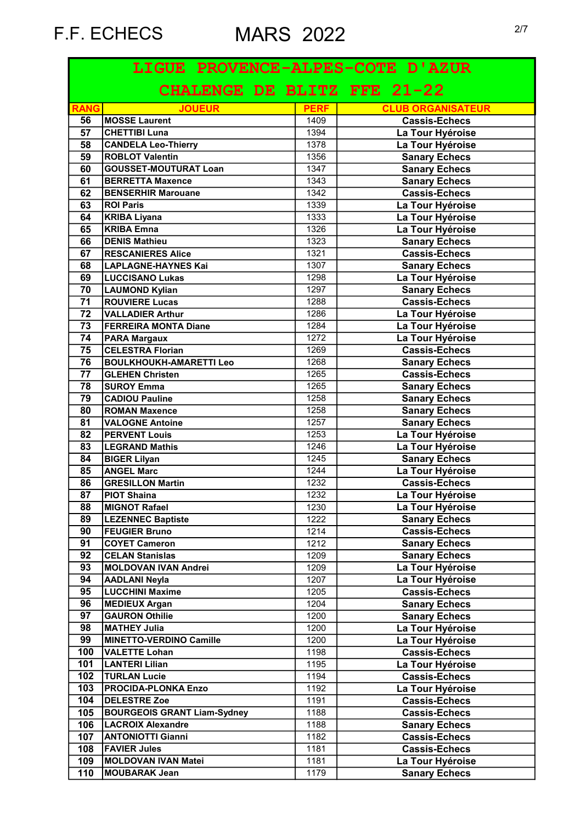| LIGUE PROVENCE-ALPES-COTE D'AZUR |                                    |             |                          |  |
|----------------------------------|------------------------------------|-------------|--------------------------|--|
|                                  | CHALENGE DE BLITZ FFE 21-22        |             |                          |  |
| <b>RANG</b>                      | <b>JOUEUR</b>                      | <b>PERF</b> | <b>CLUB ORGANISATEUR</b> |  |
| 56                               | <b>MOSSE Laurent</b>               | 1409        | <b>Cassis-Echecs</b>     |  |
| 57                               | <b>CHETTIBI Luna</b>               | 1394        | La Tour Hyéroise         |  |
| 58                               | <b>CANDELA Leo-Thierry</b>         | 1378        | La Tour Hyéroise         |  |
| 59                               | <b>ROBLOT Valentin</b>             | 1356        | <b>Sanary Echecs</b>     |  |
| 60                               | <b>GOUSSET-MOUTURAT Loan</b>       | 1347        | <b>Sanary Echecs</b>     |  |
| 61                               | <b>BERRETTA Maxence</b>            | 1343        | <b>Sanary Echecs</b>     |  |
| 62                               | <b>BENSERHIR Marouane</b>          | 1342        | <b>Cassis-Echecs</b>     |  |
| 63                               | <b>ROI Paris</b>                   | 1339        | La Tour Hyéroise         |  |
| 64                               | <b>KRIBA Liyana</b>                | 1333        | La Tour Hyéroise         |  |
| 65                               | <b>KRIBA Emna</b>                  | 1326        | La Tour Hyéroise         |  |
| 66                               | <b>DENIS Mathieu</b>               | 1323        | <b>Sanary Echecs</b>     |  |
| 67                               | <b>RESCANIERES Alice</b>           | 1321        | <b>Cassis-Echecs</b>     |  |
| 68                               | <b>LAPLAGNE-HAYNES Kai</b>         | 1307        | <b>Sanary Echecs</b>     |  |
| 69                               | <b>LUCCISANO Lukas</b>             | 1298        | La Tour Hyéroise         |  |
| 70                               | <b>LAUMOND Kylian</b>              | 1297        | <b>Sanary Echecs</b>     |  |
| 71                               | <b>ROUVIERE Lucas</b>              | 1288        | <b>Cassis-Echecs</b>     |  |
| $\overline{72}$                  | <b>VALLADIER Arthur</b>            | 1286        | La Tour Hyéroise         |  |
| 73                               | <b>FERREIRA MONTA Diane</b>        | 1284        | La Tour Hyéroise         |  |
| 74                               | <b>PARA Margaux</b>                | 1272        | La Tour Hyéroise         |  |
| $\overline{75}$                  | <b>CELESTRA Florian</b>            | 1269        | <b>Cassis-Echecs</b>     |  |
| 76                               | <b>BOULKHOUKH-AMARETTI Leo</b>     | 1268        | <b>Sanary Echecs</b>     |  |
| $\overline{77}$                  | <b>GLEHEN Christen</b>             | 1265        | <b>Cassis-Echecs</b>     |  |
| 78                               | <b>SUROY Emma</b>                  | 1265        | <b>Sanary Echecs</b>     |  |
| 79                               | <b>CADIOU Pauline</b>              | 1258        | <b>Sanary Echecs</b>     |  |
| 80                               | <b>ROMAN Maxence</b>               | 1258        | <b>Sanary Echecs</b>     |  |
| 81                               | <b>VALOGNE Antoine</b>             | 1257        | <b>Sanary Echecs</b>     |  |
| 82                               | <b>PERVENT Louis</b>               | 1253        | La Tour Hyéroise         |  |
| 83                               | <b>LEGRAND Mathis</b>              | 1246        | La Tour Hyéroise         |  |
| 84                               | <b>BIGER Lilyan</b>                | 1245        | <b>Sanary Echecs</b>     |  |
| 85                               | <b>ANGEL Marc</b>                  | 1244        | La Tour Hyéroise         |  |
| 86                               | <b>GRESILLON Martin</b>            | 1232        | <b>Cassis-Echecs</b>     |  |
| $\overline{\overline{87}}$       | <b>PIOT Shaina</b>                 | 1232        | La Tour Hyéroise         |  |
| 88                               | <b>MIGNOT Rafael</b>               | 1230        | La Tour Hyéroise         |  |
| 89                               | <b>LEZENNEC Baptiste</b>           | 1222        | <b>Sanary Echecs</b>     |  |
| 90                               | <b>FEUGIER Bruno</b>               | 1214        | <b>Cassis-Echecs</b>     |  |
| $\overline{91}$                  | <b>COYET Cameron</b>               | 1212        | <b>Sanary Echecs</b>     |  |
| 92                               | <b>CELAN Stanislas</b>             | 1209        | <b>Sanary Echecs</b>     |  |
| 93                               | <b>MOLDOVAN IVAN Andrei</b>        | 1209        | La Tour Hyéroise         |  |
| 94                               | <b>AADLANI Neyla</b>               | 1207        | La Tour Hyéroise         |  |
| $\overline{95}$                  | <b>LUCCHINI Maxime</b>             | 1205        | <b>Cassis-Echecs</b>     |  |
| 96                               | <b>MEDIEUX Argan</b>               | 1204        | <b>Sanary Echecs</b>     |  |
| 97                               | <b>GAURON Othilie</b>              | 1200        | <b>Sanary Echecs</b>     |  |
| 98                               | <b>MATHEY Julia</b>                | 1200        | La Tour Hyéroise         |  |
| 99                               | <b>MINETTO-VERDINO Camille</b>     | 1200        | La Tour Hyéroise         |  |
| 100                              | <b>VALETTE Lohan</b>               | 1198        | <b>Cassis-Echecs</b>     |  |
| 101                              | <b>LANTERI Lilian</b>              | 1195        | La Tour Hyéroise         |  |
| 102                              | <b>TURLAN Lucie</b>                | 1194        | <b>Cassis-Echecs</b>     |  |
| 103                              | <b>PROCIDA-PLONKA Enzo</b>         | 1192        | La Tour Hyéroise         |  |
| 104                              | <b>DELESTRE Zoe</b>                | 1191        | <b>Cassis-Echecs</b>     |  |
| 105                              | <b>BOURGEOIS GRANT Liam-Sydney</b> | 1188        | <b>Cassis-Echecs</b>     |  |
| 106                              | <b>LACROIX Alexandre</b>           | 1188        | <b>Sanary Echecs</b>     |  |
| 107                              | <b>ANTONIOTTI Gianni</b>           | 1182        | <b>Cassis-Echecs</b>     |  |
| 108                              | <b>FAVIER Jules</b>                | 1181        | <b>Cassis-Echecs</b>     |  |
| 109                              | MOLDOVAN IVAN Matei                | 1181        | La Tour Hyéroise         |  |
|                                  |                                    | 1179        |                          |  |
| 110                              | MOUBARAK Jean                      |             | <b>Sanary Echecs</b>     |  |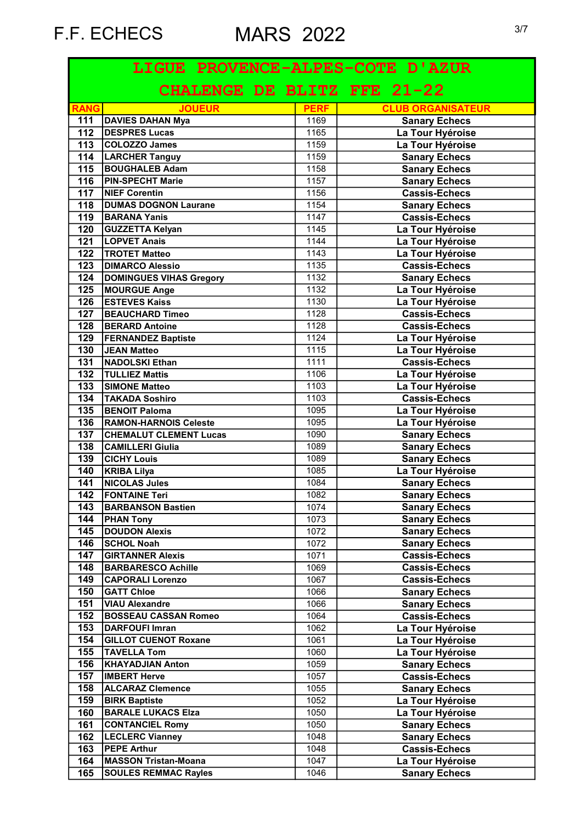| LIGUE PROVENCE-ALPES-COTE D'AZUR |                                |             |                          |  |
|----------------------------------|--------------------------------|-------------|--------------------------|--|
|                                  | CHALENGE DE BLITZ FFE 21-22    |             |                          |  |
| <b>RANG</b>                      | <b>JOUEUR</b>                  | <b>PERF</b> | <b>CLUB ORGANISATEUR</b> |  |
| 111                              | <b>DAVIES DAHAN Mya</b>        | 1169        | <b>Sanary Echecs</b>     |  |
| 112                              | <b>DESPRES Lucas</b>           | 1165        | La Tour Hyéroise         |  |
| $\overline{113}$                 | COLOZZO James                  | 1159        | La Tour Hyéroise         |  |
| $\frac{114}{114}$                | <b>LARCHER Tanguy</b>          | 1159        | <b>Sanary Echecs</b>     |  |
| $\overline{115}$                 | <b>BOUGHALEB Adam</b>          | 1158        | <b>Sanary Echecs</b>     |  |
| $\frac{116}{116}$                | <b>PIN-SPECHT Marie</b>        | 1157        | <b>Sanary Echecs</b>     |  |
| 117                              | <b>NIEF Corentin</b>           | 1156        | <b>Cassis-Echecs</b>     |  |
| 118                              | <b>DUMAS DOGNON Laurane</b>    | 1154        | <b>Sanary Echecs</b>     |  |
| 119                              | <b>BARANA Yanis</b>            | 1147        | <b>Cassis-Echecs</b>     |  |
| 120                              | <b>GUZZETTA Kelyan</b>         | 1145        | La Tour Hyéroise         |  |
| 121                              | <b>LOPVET Anais</b>            | 1144        | La Tour Hyéroise         |  |
| 122                              | <b>TROTET Matteo</b>           | 1143        | La Tour Hyéroise         |  |
| 123                              | <b>DIMARCO Alessio</b>         | 1135        | <b>Cassis-Echecs</b>     |  |
| 124                              | <b>DOMINGUES VIHAS Gregory</b> | 1132        | <b>Sanary Echecs</b>     |  |
| 125                              | <b>MOURGUE Ange</b>            | 1132        | La Tour Hyéroise         |  |
| 126                              | <b>ESTEVES Kaiss</b>           | 1130        | La Tour Hyéroise         |  |
| 127                              | <b>BEAUCHARD Timeo</b>         | 1128        | <b>Cassis-Echecs</b>     |  |
| 128                              | <b>BERARD Antoine</b>          | 1128        | <b>Cassis-Echecs</b>     |  |
| 129                              | <b>FERNANDEZ Baptiste</b>      | 1124        | La Tour Hyéroise         |  |
| 130                              | JEAN Matteo                    | 1115        | La Tour Hyéroise         |  |
| $\overline{131}$                 | NADOLSKI Ethan                 | 1111        | <b>Cassis-Echecs</b>     |  |
| $\overline{132}$                 | <b>TULLIEZ Mattis</b>          | 1106        | La Tour Hyéroise         |  |
| 133                              | <b>SIMONE Matteo</b>           | 1103        | La Tour Hyéroise         |  |
| 134                              | <b>TAKADA Soshiro</b>          | 1103        | <b>Cassis-Echecs</b>     |  |
| 135                              | <b>BENOIT Paloma</b>           | 1095        | La Tour Hyéroise         |  |
| 136                              | <b>RAMON-HARNOIS Celeste</b>   | 1095        | La Tour Hyéroise         |  |
| 137                              | <b>CHEMALUT CLEMENT Lucas</b>  | 1090        | <b>Sanary Echecs</b>     |  |
| 138                              | <b>CAMILLERI Giulia</b>        | 1089        | <b>Sanary Echecs</b>     |  |
| 139                              | <b>CICHY Louis</b>             | 1089        | <b>Sanary Echecs</b>     |  |
| 140                              | <b>KRIBA Lilya</b>             | 1085        | La Tour Hyéroise         |  |
| 141                              | <b>NICOLAS Jules</b>           | 1084        | <b>Sanary Echecs</b>     |  |
| 142                              | <b>FONTAINE Teri</b>           | 1082        | <b>Sanary Echecs</b>     |  |
| 143                              | <b>BARBANSON Bastien</b>       | 1074        | <b>Sanary Echecs</b>     |  |
| 144                              | <b>PHAN Tony</b>               | 1073        | <b>Sanary Echecs</b>     |  |
| 145                              | <b>DOUDON Alexis</b>           | 1072        | <b>Sanary Echecs</b>     |  |
| 146                              | <b>SCHOL Noah</b>              | 1072        | <b>Sanary Echecs</b>     |  |
| 147                              | <b>GIRTANNER Alexis</b>        | 1071        | <b>Cassis-Echecs</b>     |  |
| 148                              | <b>BARBARESCO Achille</b>      | 1069        | <b>Cassis-Echecs</b>     |  |
| 149                              | <b>CAPORALI Lorenzo</b>        | 1067        | <b>Cassis-Echecs</b>     |  |
| 150                              | <b>GATT Chloe</b>              | 1066        | <b>Sanary Echecs</b>     |  |
| 151                              | <b>VIAU Alexandre</b>          | 1066        | <b>Sanary Echecs</b>     |  |
| 152                              | <b>BOSSEAU CASSAN Romeo</b>    | 1064        | <b>Cassis-Echecs</b>     |  |
| 153                              | <b>DARFOUFI Imran</b>          | 1062        | La Tour Hyéroise         |  |
| 154                              | <b>GILLOT CUENOT Roxane</b>    | 1061        | La Tour Hyéroise         |  |
| 155                              | <b>TAVELLA Tom</b>             | 1060        | La Tour Hyéroise         |  |
| 156                              | <b>KHAYADJIAN Anton</b>        | 1059        | <b>Sanary Echecs</b>     |  |
| 157                              | <b>IMBERT Herve</b>            | 1057        | <b>Cassis-Echecs</b>     |  |
| 158                              | <b>ALCARAZ Clemence</b>        | 1055        | <b>Sanary Echecs</b>     |  |
| 159                              | <b>BIRK Baptiste</b>           | 1052        | La Tour Hyéroise         |  |
| 160                              | <b>BARALE LUKACS Elza</b>      | 1050        | La Tour Hyéroise         |  |
| 161                              | <b>CONTANCIEL Romy</b>         | 1050        | <b>Sanary Echecs</b>     |  |
| 162                              | <b>LECLERC Vianney</b>         | 1048        | <b>Sanary Echecs</b>     |  |
| 163                              | <b>PEPE Arthur</b>             | 1048        | <b>Cassis-Echecs</b>     |  |
| 164                              | <b>MASSON Tristan-Moana</b>    | 1047        | La Tour Hyéroise         |  |
| 165                              | <b>SOULES REMMAC Rayles</b>    | 1046        | <b>Sanary Echecs</b>     |  |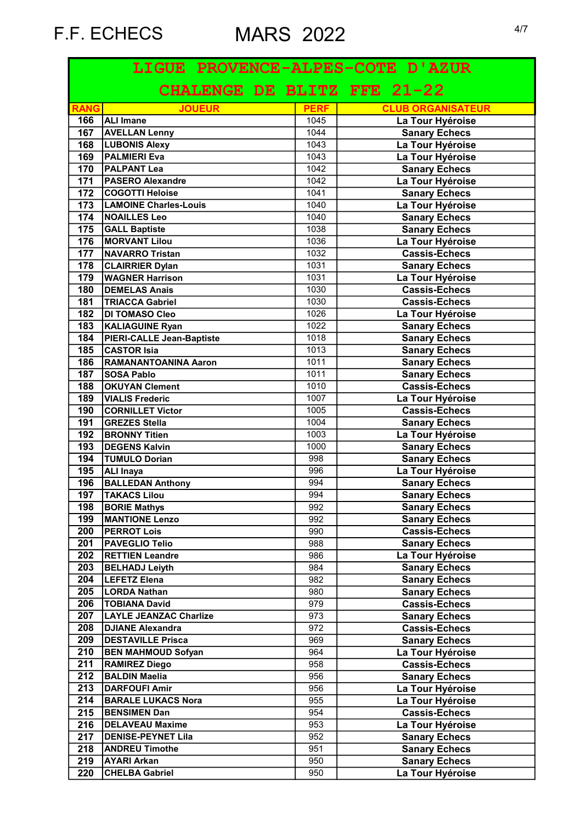| LIGUE PROVENCE-ALPES-COTE D'AZUR |                                              |             |                          |  |
|----------------------------------|----------------------------------------------|-------------|--------------------------|--|
|                                  | CHALENGE DE BLITZ FFE 21-22                  |             |                          |  |
| <b>RANG</b>                      | <b>JOUEUR</b>                                | <b>PERF</b> | <b>CLUB ORGANISATEUR</b> |  |
| 166                              | <b>ALI Imane</b>                             | 1045        | La Tour Hyéroise         |  |
| 167                              | <b>AVELLAN Lenny</b>                         | 1044        | <b>Sanary Echecs</b>     |  |
| 168                              | <b>LUBONIS Alexy</b>                         | 1043        | La Tour Hyéroise         |  |
| 169                              | <b>PALMIERI Eva</b>                          | 1043        | La Tour Hyéroise         |  |
| 170                              | <b>PALPANT Lea</b>                           | 1042        | <b>Sanary Echecs</b>     |  |
| $\overline{171}$                 | <b>PASERO Alexandre</b>                      | 1042        | La Tour Hyéroise         |  |
| 172                              | <b>COGOTTI Heloise</b>                       | 1041        | <b>Sanary Echecs</b>     |  |
| $\overline{173}$                 | <b>LAMOINE Charles-Louis</b>                 | 1040        | La Tour Hyéroise         |  |
| 174                              | <b>NOAILLES Leo</b>                          | 1040        | <b>Sanary Echecs</b>     |  |
| 175                              | <b>GALL Baptiste</b>                         | 1038        | <b>Sanary Echecs</b>     |  |
| 176                              | <b>MORVANT Lilou</b>                         | 1036        | La Tour Hyéroise         |  |
| 177                              | NAVARRO Tristan                              | 1032        | <b>Cassis-Echecs</b>     |  |
| 178                              | <b>CLAIRRIER Dylan</b>                       | 1031        | <b>Sanary Echecs</b>     |  |
| 179                              | <b>WAGNER Harrison</b>                       | 1031        | La Tour Hyéroise         |  |
| 180                              | <b>DEMELAS Anais</b>                         | 1030        | Cassis-Echecs            |  |
| 181                              | <b>TRIACCA Gabriel</b>                       | 1030        | <b>Cassis-Echecs</b>     |  |
| 182                              | <b>DI TOMASO Cleo</b>                        | 1026        | La Tour Hyéroise         |  |
| $\overline{183}$                 | <b>KALIAGUINE Ryan</b>                       | 1022        | <b>Sanary Echecs</b>     |  |
| 184                              | PIERI-CALLE Jean-Baptiste                    | 1018        | <b>Sanary Echecs</b>     |  |
| 185                              | <b>CASTOR Isia</b>                           | 1013        | <b>Sanary Echecs</b>     |  |
| 186                              | RAMANANTOANINA Aaron                         | 1011        | <b>Sanary Echecs</b>     |  |
| 187                              | SOSA Pablo                                   | 1011        | <b>Sanary Echecs</b>     |  |
| 188                              | <b>OKUYAN Clement</b>                        | 1010        | <b>Cassis-Echecs</b>     |  |
| 189                              | <b>VIALIS Frederic</b>                       | 1007        | La Tour Hyéroise         |  |
| 190                              | <b>CORNILLET Victor</b>                      | 1005        | <b>Cassis-Echecs</b>     |  |
| 191                              | <b>GREZES Stella</b>                         | 1004        |                          |  |
| 192                              | <b>BRONNY Titien</b>                         |             | <b>Sanary Echecs</b>     |  |
|                                  |                                              | 1003        | La Tour Hyéroise         |  |
| 193                              | <b>DEGENS Kalvin</b><br><b>TUMULO Dorian</b> | 1000        | <b>Sanary Echecs</b>     |  |
| 194                              |                                              | 998         | <b>Sanary Echecs</b>     |  |
| 195                              | <b>ALI Inaya</b>                             | 996         | La Tour Hyéroise         |  |
| 196                              | <b>BALLEDAN Anthony</b>                      | 994         | <b>Sanary Echecs</b>     |  |
| 197                              | <b>TAKACS Lilou</b>                          | 994         | <b>Sanary Echecs</b>     |  |
| 198                              | <b>BORIE Mathys</b>                          | 992         | <b>Sanary Echecs</b>     |  |
| 199                              | <b>MANTIONE Lenzo</b>                        | 992         | <b>Sanary Echecs</b>     |  |
| 200                              | <b>PERROT Lois</b>                           | 990         | <b>Cassis-Echecs</b>     |  |
| 201                              | <b>PAVEGLIO Telio</b>                        | 988         | <b>Sanary Echecs</b>     |  |
| 202                              | <b>RETTIEN Leandre</b>                       | 986         | La Tour Hyéroise         |  |
| 203                              | <b>BELHADJ Leiyth</b>                        | 984         | <b>Sanary Echecs</b>     |  |
| 204                              | <b>LEFETZ Elena</b>                          | 982         | <b>Sanary Echecs</b>     |  |
| 205                              | LORDA Nathan                                 | 980         | <b>Sanary Echecs</b>     |  |
| 206                              | <b>TOBIANA David</b>                         | 979         | <b>Cassis-Echecs</b>     |  |
| 207                              | <b>LAYLE JEANZAC Charlize</b>                | 973         | <b>Sanary Echecs</b>     |  |
| 208                              | <b>DJIANE Alexandra</b>                      | 972         | <b>Cassis-Echecs</b>     |  |
| 209                              | <b>DESTAVILLE Prisca</b>                     | 969         | <b>Sanary Echecs</b>     |  |
| 210                              | <b>BEN MAHMOUD Sofyan</b>                    | 964         | La Tour Hyéroise         |  |
| 211                              | <b>RAMIREZ Diego</b>                         | 958         | <b>Cassis-Echecs</b>     |  |
| 212                              | <b>BALDIN Maelia</b>                         | 956         | <b>Sanary Echecs</b>     |  |
| 213                              | <b>DARFOUFI Amir</b>                         | 956         | La Tour Hyéroise         |  |
| 214                              | <b>BARALE LUKACS Nora</b>                    | 955         | La Tour Hyéroise         |  |
| 215                              | <b>BENSIMEN Dan</b>                          | 954         | <b>Cassis-Echecs</b>     |  |
| 216                              | <b>DELAVEAU Maxime</b>                       | 953         | La Tour Hyéroise         |  |
| 217                              | <b>DENISE-PEYNET Lila</b>                    | 952         | <b>Sanary Echecs</b>     |  |
| 218                              | <b>ANDREU Timothe</b>                        | 951         | <b>Sanary Echecs</b>     |  |
| 219                              | <b>AYARI Arkan</b>                           | 950         | <b>Sanary Echecs</b>     |  |
| 220                              | <b>CHELBA Gabriel</b>                        | 950         | La Tour Hyéroise         |  |
|                                  |                                              |             |                          |  |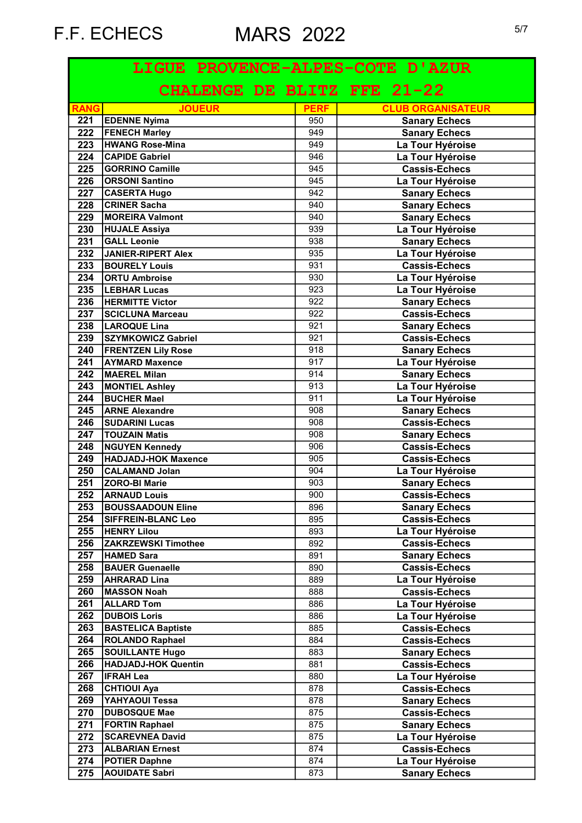| LIGUE PROVENCE-ALPES-COTE D'AZUR |                             |             |                          |  |
|----------------------------------|-----------------------------|-------------|--------------------------|--|
|                                  | CHALENGE DE BLITZ FFE 21-22 |             |                          |  |
| <b>RANG</b>                      | <b>JOUEUR</b>               | <b>PERF</b> | <b>CLUB ORGANISATEUR</b> |  |
| 221                              | <b>EDENNE Nyima</b>         | 950         | <b>Sanary Echecs</b>     |  |
| 222                              | <b>FENECH Marley</b>        | 949         | <b>Sanary Echecs</b>     |  |
| $\overline{223}$                 | <b>HWANG Rose-Mina</b>      | 949         | La Tour Hyéroise         |  |
| $\overline{224}$                 | <b>CAPIDE Gabriel</b>       | 946         | La Tour Hyéroise         |  |
| 225                              | <b>GORRINO Camille</b>      | 945         | <b>Cassis-Echecs</b>     |  |
| 226                              | <b>ORSONI Santino</b>       | 945         | La Tour Hyéroise         |  |
| 227                              | <b>CASERTA Hugo</b>         | 942         | <b>Sanary Echecs</b>     |  |
| 228                              | <b>CRINER Sacha</b>         | 940         | <b>Sanary Echecs</b>     |  |
| 229                              | <b>MOREIRA Valmont</b>      | 940         | <b>Sanary Echecs</b>     |  |
| 230                              | <b>HUJALE Assiya</b>        | 939         | La Tour Hyéroise         |  |
| 231                              | <b>GALL Leonie</b>          | 938         | <b>Sanary Echecs</b>     |  |
| 232                              | JANIER-RIPERT Alex          | 935         | La Tour Hyéroise         |  |
| 233                              | <b>BOURELY Louis</b>        | 931         | <b>Cassis-Echecs</b>     |  |
| 234                              | <b>ORTU Ambroise</b>        | 930         | La Tour Hyéroise         |  |
| 235                              | <b>LEBHAR Lucas</b>         | 923         | La Tour Hyéroise         |  |
| 236                              | <b>HERMITTE Victor</b>      | 922         | <b>Sanary Echecs</b>     |  |
| 237                              | SCICLUNA Marceau            | 922         | <b>Cassis-Echecs</b>     |  |
| 238                              | LAROQUE Lina                | 921         | <b>Sanary Echecs</b>     |  |
| 239                              | <b>SZYMKOWICZ Gabriel</b>   | 921         | <b>Cassis-Echecs</b>     |  |
| 240                              | <b>FRENTZEN Lily Rose</b>   | 918         | <b>Sanary Echecs</b>     |  |
| 241                              | <b>AYMARD Maxence</b>       | 917         | La Tour Hyéroise         |  |
| 242                              | MAEREL Milan                | 914         | <b>Sanary Echecs</b>     |  |
| 243                              | <b>MONTIEL Ashley</b>       | 913         | La Tour Hyéroise         |  |
| 244                              | <b>BUCHER Mael</b>          | 911         | La Tour Hyéroise         |  |
| 245                              | <b>ARNE Alexandre</b>       | 908         | <b>Sanary Echecs</b>     |  |
| 246                              | <b>SUDARINI Lucas</b>       | 908         | <b>Cassis-Echecs</b>     |  |
| 247                              | <b>TOUZAIN Matis</b>        | 908         | <b>Sanary Echecs</b>     |  |
| 248                              | <b>NGUYEN</b> Kennedy       | 906         | <b>Cassis-Echecs</b>     |  |
| 249                              | <b>HADJADJ-HOK Maxence</b>  | 905         | <b>Cassis-Echecs</b>     |  |
| 250                              | <b>CALAMAND Jolan</b>       | 904         | La Tour Hyéroise         |  |
| 251                              | <b>ZORO-BI Marie</b>        | 903         | <b>Sanary Echecs</b>     |  |
|                                  |                             |             |                          |  |
| 252                              | <b>ARNAUD Louis</b>         | 900         | <b>Cassis-Echecs</b>     |  |
| 253                              | <b>BOUSSAADOUN Eline</b>    | 896         | <b>Sanary Echecs</b>     |  |
| 254                              | <b>SIFFREIN-BLANC Leo</b>   | 895         | <b>Cassis-Echecs</b>     |  |
| 255                              | <b>HENRY Lilou</b>          | 893         | La Tour Hyéroise         |  |
| 256                              | <b>ZAKRZEWSKI Timothee</b>  | 892         | <b>Cassis-Echecs</b>     |  |
| 257                              | HAMED Sara                  | 891         | <b>Sanary Echecs</b>     |  |
| 258                              | <b>BAUER Guenaelle</b>      | 890         | <b>Cassis-Echecs</b>     |  |
| 259                              | <b>AHRARAD Lina</b>         | 889         | La Tour Hyéroise         |  |
| 260                              | <b>MASSON Noah</b>          | 888         | <b>Cassis-Echecs</b>     |  |
| 261                              | <b>ALLARD Tom</b>           | 886         | La Tour Hyéroise         |  |
| 262                              | <b>DUBOIS Loris</b>         | 886         | La Tour Hyéroise         |  |
| 263                              | <b>BASTELICA Baptiste</b>   | 885         | <b>Cassis-Echecs</b>     |  |
| 264                              | <b>ROLANDO Raphael</b>      | 884         | <b>Cassis-Echecs</b>     |  |
| 265                              | <b>SOUILLANTE Hugo</b>      | 883         | <b>Sanary Echecs</b>     |  |
| 266                              | <b>HADJADJ-HOK Quentin</b>  | 881         | <b>Cassis-Echecs</b>     |  |
| 267                              | <b>IFRAH Lea</b>            | 880         | La Tour Hyéroise         |  |
| 268                              | <b>CHTIOUI Aya</b>          | 878         | <b>Cassis-Echecs</b>     |  |
| 269                              | YAHYAOUI Tessa              | 878         | <b>Sanary Echecs</b>     |  |
| 270                              | <b>DUBOSQUE Mae</b>         | 875         | <b>Cassis-Echecs</b>     |  |
| 271                              | <b>FORTIN Raphael</b>       | 875         | <b>Sanary Echecs</b>     |  |
| 272                              | <b>SCAREVNEA David</b>      | 875         | La Tour Hyéroise         |  |
| 273                              | <b>ALBARIAN Ernest</b>      | 874         | <b>Cassis-Echecs</b>     |  |
| 274                              | <b>POTIER Daphne</b>        | 874         | La Tour Hyéroise         |  |
| 275                              | <b>AOUIDATE Sabri</b>       | 873         | <b>Sanary Echecs</b>     |  |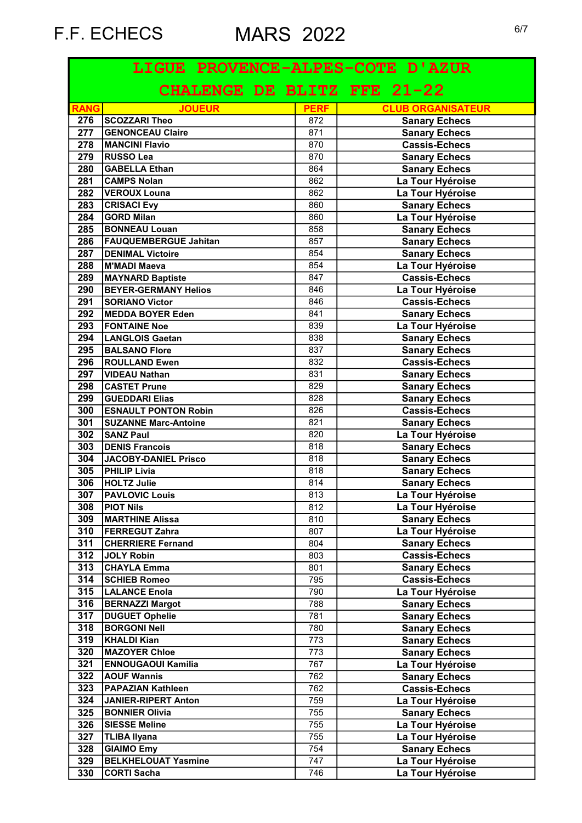| LIGUE PROVENCE-ALPES-COTE D'AZUR |                                           |             |                                              |  |
|----------------------------------|-------------------------------------------|-------------|----------------------------------------------|--|
|                                  | CHALENGE DE BLITZ FFE 21-22               |             |                                              |  |
| <b>RANG</b>                      | <b>JOUEUR</b>                             | <b>PERF</b> | <b>CLUB ORGANISATEUR</b>                     |  |
| 276                              | <b>SCOZZARI Theo</b>                      | 872         | <b>Sanary Echecs</b>                         |  |
| 277                              | <b>GENONCEAU Claire</b>                   | 871         | <b>Sanary Echecs</b>                         |  |
| 278                              | <b>MANCINI Flavio</b>                     | 870         | <b>Cassis-Echecs</b>                         |  |
| 279                              | <b>RUSSO Lea</b>                          | 870         | <b>Sanary Echecs</b>                         |  |
| 280                              | <b>GABELLA Ethan</b>                      | 864         | <b>Sanary Echecs</b>                         |  |
| 281                              | <b>CAMPS Nolan</b>                        | 862         | La Tour Hyéroise                             |  |
| 282                              | <b>VEROUX Louna</b>                       | 862         | La Tour Hyéroise                             |  |
| 283                              | <b>CRISACI Evy</b>                        | 860         | <b>Sanary Echecs</b>                         |  |
| 284                              | <b>GORD Milan</b>                         | 860         | La Tour Hyéroise                             |  |
| 285                              | <b>BONNEAU Louan</b>                      | 858         | <b>Sanary Echecs</b>                         |  |
| 286                              | <b>FAUQUEMBERGUE Jahitan</b>              | 857         | <b>Sanary Echecs</b>                         |  |
| 287                              | <b>DENIMAL Victoire</b>                   | 854         | <b>Sanary Echecs</b>                         |  |
| 288                              | M'MADI Maeva                              | 854         | La Tour Hyéroise                             |  |
| 289                              | <b>MAYNARD Baptiste</b>                   | 847         | <b>Cassis-Echecs</b>                         |  |
| 290                              | <b>BEYER-GERMANY Helios</b>               | 846         | La Tour Hyéroise                             |  |
| 291                              | <b>SORIANO Victor</b>                     | 846         | <b>Cassis-Echecs</b>                         |  |
| 292                              | <b>MEDDA BOYER Eden</b>                   | 841         | <b>Sanary Echecs</b>                         |  |
| 293                              | <b>FONTAINE Noe</b>                       | 839         | La Tour Hyéroise                             |  |
| 294                              | <b>LANGLOIS Gaetan</b>                    | 838         | <b>Sanary Echecs</b>                         |  |
| 295                              | <b>BALSANO Flore</b>                      | 837         | <b>Sanary Echecs</b>                         |  |
| 296                              | <b>ROULLAND Ewen</b>                      | 832         | <b>Cassis-Echecs</b>                         |  |
| 297                              | <b>VIDEAU Nathan</b>                      | 831         | <b>Sanary Echecs</b>                         |  |
| 298                              | <b>CASTET Prune</b>                       | 829         | <b>Sanary Echecs</b>                         |  |
| 299                              | <b>GUEDDARI Elias</b>                     | 828         | <b>Sanary Echecs</b>                         |  |
| 300                              | <b>ESNAULT PONTON Robin</b>               | 826         | <b>Cassis-Echecs</b>                         |  |
| 301<br>302                       | <b>SUZANNE Marc-Antoine</b>               | 821         | <b>Sanary Echecs</b>                         |  |
| 303                              | <b>SANZ Paul</b><br><b>DENIS Francois</b> | 820<br>818  | La Tour Hyéroise                             |  |
| 304                              | JACOBY-DANIEL Prisco                      |             | <b>Sanary Echecs</b>                         |  |
| 305                              | <b>PHILIP Livia</b>                       | 818<br>818  | <b>Sanary Echecs</b><br><b>Sanary Echecs</b> |  |
| 306                              | HOLTZ Julie                               | 814         | <b>Sanary Echecs</b>                         |  |
| 307                              | <b>PAVLOVIC Louis</b>                     | 813         | La Tour Hyéroise                             |  |
| 308                              | <b>PIOT Nils</b>                          | 812         |                                              |  |
| 309                              | <b>MARTHINE Alissa</b>                    | 810         | La Tour Hyéroise<br><b>Sanary Echecs</b>     |  |
| 310                              | <b>FERREGUT Zahra</b>                     | 807         | La Tour Hyéroise                             |  |
| 311                              | <b>CHERRIERE Fernand</b>                  | 804         | <b>Sanary Echecs</b>                         |  |
| 312                              | JOLY Robin                                | 803         | <b>Cassis-Echecs</b>                         |  |
| 313                              | <b>CHAYLA Emma</b>                        | 801         | <b>Sanary Echecs</b>                         |  |
| 314                              | <b>SCHIEB Romeo</b>                       | 795         | <b>Cassis-Echecs</b>                         |  |
| 315                              | <b>LALANCE Enola</b>                      | 790         | La Tour Hyéroise                             |  |
| 316                              | <b>BERNAZZI Margot</b>                    | 788         | <b>Sanary Echecs</b>                         |  |
| 317                              | <b>DUGUET Ophelie</b>                     | 781         | <b>Sanary Echecs</b>                         |  |
| 318                              | <b>BORGONI Nell</b>                       | 780         | <b>Sanary Echecs</b>                         |  |
| 319                              | KHALDI Kian                               | 773         | <b>Sanary Echecs</b>                         |  |
| 320                              | <b>MAZOYER Chloe</b>                      | 773         | <b>Sanary Echecs</b>                         |  |
| 321                              | <b>ENNOUGAOUI Kamilia</b>                 | 767         | La Tour Hyéroise                             |  |
| 322                              | <b>AOUF Wannis</b>                        | 762         | <b>Sanary Echecs</b>                         |  |
| 323                              | <b>PAPAZIAN Kathleen</b>                  | 762         | <b>Cassis-Echecs</b>                         |  |
| 324                              | <b>JANIER-RIPERT Anton</b>                | 759         | La Tour Hyéroise                             |  |
| 325                              | <b>BONNIER Olivia</b>                     | 755         | <b>Sanary Echecs</b>                         |  |
| 326                              | <b>SIESSE Meline</b>                      | 755         | La Tour Hyéroise                             |  |
| 327                              | <b>TLIBA Ilyana</b>                       | 755         | La Tour Hyéroise                             |  |
| 328                              | <b>GIAIMO Emy</b>                         | 754         | <b>Sanary Echecs</b>                         |  |
| 329                              | <b>BELKHELOUAT Yasmine</b>                | 747         | La Tour Hyéroise                             |  |
| 330                              | <b>CORTI Sacha</b>                        | 746         | La Tour Hyéroise                             |  |
|                                  |                                           |             |                                              |  |